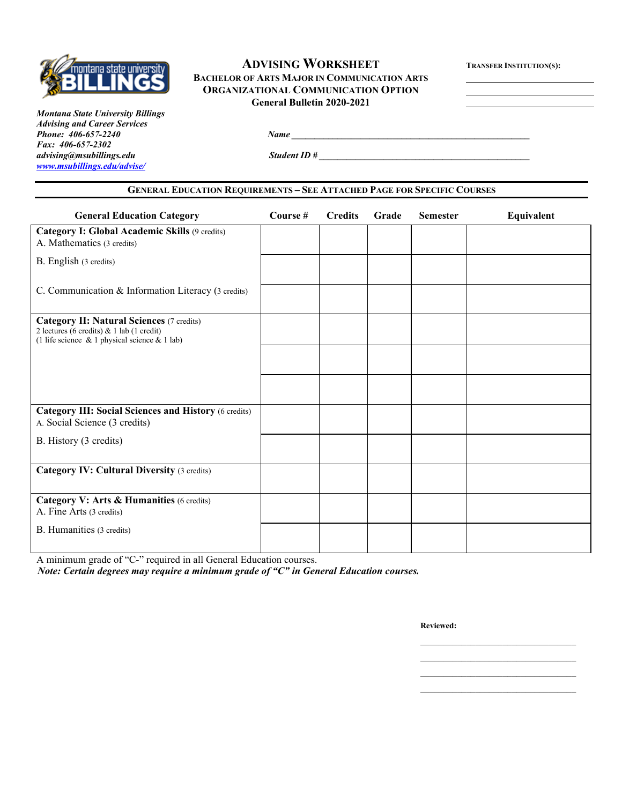

## **ADVISING WORKSHEET TRANSFER INSTITUTION(S): BACHELOR OF ARTS MAJOR IN COMMUNICATION ARTS ORGANIZATIONAL COMMUNICATION OPTION General Bulletin 2020-2021**

*Montana State University Billings Advising and Career Services Fax: 406-657-2302 [www.msubillings.edu/advise/](http://www.msubillings.edu/advise/)*

*Phone: 406-657-2240 Name \_\_\_\_\_\_\_\_\_\_\_\_\_\_\_\_\_\_\_\_\_\_\_\_\_\_\_\_\_\_\_\_\_\_\_\_\_\_\_\_\_\_\_\_\_\_\_\_\_\_\_\_*

*<u><i>advision ID #</u>*</u>

### **GENERAL EDUCATION REQUIREMENTS – SEE ATTACHED PAGE FOR SPECIFIC COURSES**

| <b>General Education Category</b>                                                                                                                   | Course # | <b>Credits</b> | Grade | <b>Semester</b> | Equivalent |
|-----------------------------------------------------------------------------------------------------------------------------------------------------|----------|----------------|-------|-----------------|------------|
| <b>Category I: Global Academic Skills (9 credits)</b><br>A. Mathematics (3 credits)                                                                 |          |                |       |                 |            |
| B. English (3 credits)                                                                                                                              |          |                |       |                 |            |
| C. Communication & Information Literacy (3 credits)                                                                                                 |          |                |       |                 |            |
| <b>Category II: Natural Sciences (7 credits)</b><br>2 lectures (6 credits) & 1 lab (1 credit)<br>(1 life science $\&$ 1 physical science $&$ 1 lab) |          |                |       |                 |            |
|                                                                                                                                                     |          |                |       |                 |            |
|                                                                                                                                                     |          |                |       |                 |            |
| <b>Category III: Social Sciences and History (6 credits)</b><br>A. Social Science (3 credits)                                                       |          |                |       |                 |            |
| B. History (3 credits)                                                                                                                              |          |                |       |                 |            |
| <b>Category IV: Cultural Diversity (3 credits)</b>                                                                                                  |          |                |       |                 |            |
| Category V: Arts & Humanities (6 credits)<br>A. Fine Arts (3 credits)                                                                               |          |                |       |                 |            |
| B. Humanities (3 credits)                                                                                                                           |          |                |       |                 |            |

A minimum grade of "C-" required in all General Education courses.

*Note: Certain degrees may require a minimum grade of "C" in General Education courses.*

**Reviewed:**

\_\_\_\_\_\_\_\_\_\_\_\_\_\_\_\_\_\_\_\_\_\_\_\_\_\_\_\_\_\_\_\_\_\_ \_\_\_\_\_\_\_\_\_\_\_\_\_\_\_\_\_\_\_\_\_\_\_\_\_\_\_\_\_\_\_\_\_\_

\_\_\_\_\_\_\_\_\_\_\_\_\_\_\_\_\_\_\_\_\_\_\_\_\_\_\_\_\_\_\_\_\_\_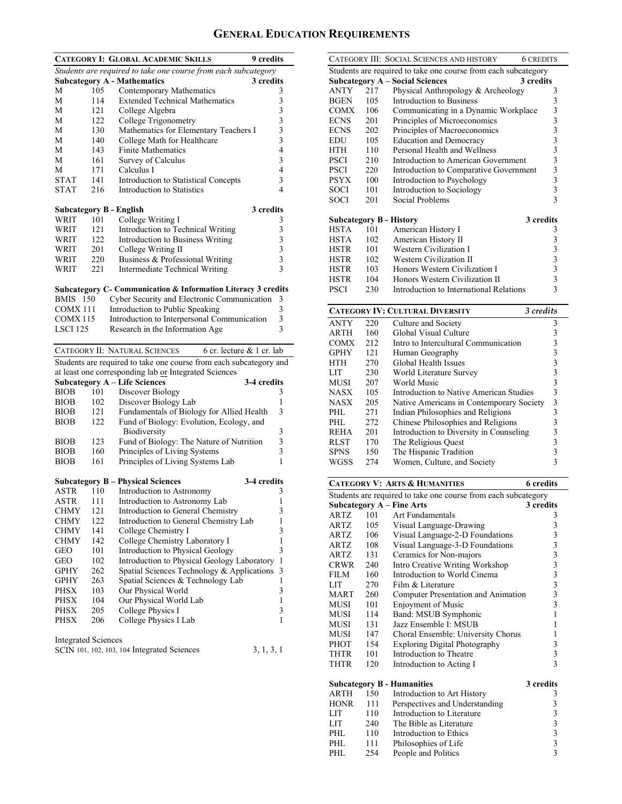# **GENERAL EDUCATION REQUIREMENTS**

|                                |      | <b>CATEGORY I: GLOBAL ACADEMIC SKILLS</b><br>9 credits             |                                                 |
|--------------------------------|------|--------------------------------------------------------------------|-------------------------------------------------|
|                                |      | Students are required to take one course from each subcategory     |                                                 |
|                                |      | <b>Subcategory A - Mathematics</b><br>3 credits                    |                                                 |
| М                              | 105  | Contemporary Mathematics                                           | 3                                               |
| М                              | 114  | <b>Extended Technical Mathematics</b>                              |                                                 |
| М                              | 121  | College Algebra                                                    | $\begin{array}{c} 3 \\ 3 \\ 3 \\ 3 \end{array}$ |
| М                              | 122  | College Trigonometry                                               |                                                 |
| М                              | 130  | Mathematics for Elementary Teachers I                              |                                                 |
| М                              | 140  | College Math for Healthcare                                        |                                                 |
| М                              | 143  | <b>Finite Mathematics</b>                                          | $\overline{4}$                                  |
| М                              | 161  | Survey of Calculus                                                 | 3                                               |
| М                              | 171  | Calculus I                                                         | 4                                               |
| <b>STAT</b>                    | 141  | Introduction to Statistical Concepts                               | 3<br>4                                          |
| <b>STAT</b>                    | 216  | Introduction to Statistics                                         |                                                 |
| <b>Subcategory B - English</b> |      | 3 credits                                                          |                                                 |
| WRIT                           | 101  | College Writing I                                                  | 3                                               |
| WRIT                           | 121  | Introduction to Technical Writing                                  | 3                                               |
| WRIT                           | 122  | Introduction to Business Writing                                   |                                                 |
| WRIT                           | 201  | College Writing II                                                 | $\frac{3}{3}$                                   |
| WRIT                           | 220  | Business & Professional Writing                                    | $\overline{3}$                                  |
| WRIT                           | 221  | Intermediate Technical Writing                                     | 3                                               |
|                                |      |                                                                    |                                                 |
|                                |      | Subcategory C- Communication & Information Literacy 3 credits      |                                                 |
| <b>BMIS</b> 150                |      | Cyber Security and Electronic Communication                        | 3                                               |
| COMX 111                       |      | Introduction to Public Speaking                                    | 3                                               |
| <b>COMX115</b>                 |      | Introduction to Interpersonal Communication                        | 3                                               |
| LSCI 125                       |      | Research in the Information Age                                    | 3                                               |
|                                |      |                                                                    |                                                 |
|                                |      | CATEGORY II: NATURAL SCIENCES<br>6 cr. lecture $& 1$ cr. lab       |                                                 |
|                                |      | Students are required to take one course from each subcategory and |                                                 |
|                                |      | at least one corresponding lab or Integrated Sciences              |                                                 |
|                                |      | <b>Subcategory A - Life Sciences</b><br>3-4 credits                |                                                 |
| <b>BIOB</b>                    | 101  | Discover Biology                                                   | 3                                               |
| <b>BIOB</b>                    | 102  | Discover Biology Lab                                               | 1                                               |
| <b>BIOB</b>                    | 121  | Fundamentals of Biology for Allied Health                          | 3                                               |
| <b>BIOB</b>                    | 122  | Fund of Biology: Evolution, Ecology, and<br>Biodiversity           | 3                                               |
| <b>BIOB</b>                    | 123  | Fund of Biology: The Nature of Nutrition                           | 3                                               |
| <b>BIOB</b>                    | 160  | Principles of Living Systems                                       | 3                                               |
| <b>BIOB</b>                    | 161  | Principles of Living Systems Lab                                   | 1                                               |
|                                |      |                                                                    |                                                 |
|                                |      | 3-4 credits<br><b>Subcategory B - Physical Sciences</b>            |                                                 |
| ASTR                           | 110  | Introduction to Astronomy                                          | 3                                               |
| ASTR                           | 111- | Introduction to Astronomy Lab                                      | 1                                               |
| CHMY                           | 121  | Introduction to General Chemistry                                  | 3                                               |
| CHMY                           | 122  | Introduction to General Chemistry Lab                              | 1                                               |
| CHMY                           | 141  | College Chemistry I                                                | 3                                               |
| <b>CHMY</b>                    | 142  | College Chemistry Laboratory I                                     | $\mathbf{1}$                                    |
| GEO                            | 101  | Introduction to Physical Geology                                   | 3                                               |
| GEO                            | 102  | Introduction to Physical Geology Laboratory                        | $\mathbf{1}$                                    |
| <b>GPHY</b>                    | 262  | Spatial Sciences Technology & Applications                         | 3                                               |
| <b>GPHY</b>                    | 263  | Spatial Sciences & Technology Lab                                  | $\mathbf{1}$                                    |
| <b>PHSX</b>                    | 103  | Our Physical World                                                 | 3                                               |
| PHSX                           | 104  | Our Physical World Lab                                             | 1                                               |
| <b>PHSX</b>                    | 205  | College Physics I                                                  | 3                                               |
| <b>PHSX</b>                    | 206  | College Physics I Lab                                              | 1                                               |
|                                |      |                                                                    |                                                 |
| <b>Integrated Sciences</b>     |      | SCIN 101, 102, 103, 104 Integrated Sciences<br>3, 1, 3, 1          |                                                 |

| CATEGORY III: SOCIAL SCIENCES AND HISTORY<br><b>6 CREDITS</b>                                                         |            |                                                                |                                            |  |
|-----------------------------------------------------------------------------------------------------------------------|------------|----------------------------------------------------------------|--------------------------------------------|--|
|                                                                                                                       |            |                                                                |                                            |  |
| Students are required to take one course from each subcategory<br><b>Subcategory A - Social Sciences</b><br>3 credits |            |                                                                |                                            |  |
| ANTY                                                                                                                  | 217        | Physical Anthropology & Archeology                             | 3                                          |  |
| <b>BGEN</b>                                                                                                           | 105        | Introduction to Business                                       | 3                                          |  |
| <b>COMX</b>                                                                                                           | 106        | Communicating in a Dynamic Workplace                           | 3                                          |  |
| <b>ECNS</b>                                                                                                           | 201        | Principles of Microeconomics                                   | $\overline{\mathbf{3}}$                    |  |
| <b>ECNS</b>                                                                                                           | 202        | Principles of Macroeconomics                                   | $\overline{\mathbf{3}}$                    |  |
| EDU                                                                                                                   | 105        | <b>Education and Democracy</b>                                 | $\overline{3}$                             |  |
| <b>HTH</b>                                                                                                            | 110        | Personal Health and Wellness                                   | 3                                          |  |
| <b>PSCI</b>                                                                                                           | 210        | Introduction to American Government                            | 3                                          |  |
| <b>PSCI</b>                                                                                                           | 220        | Introduction to Comparative Government                         | 3                                          |  |
| <b>PSYX</b>                                                                                                           | 100        | Introduction to Psychology                                     | 3                                          |  |
| <b>SOCI</b>                                                                                                           | 101        | Introduction to Sociology                                      | 3                                          |  |
| SOCI                                                                                                                  | 201        | Social Problems                                                | 3                                          |  |
|                                                                                                                       |            |                                                                |                                            |  |
|                                                                                                                       |            | 3 credits<br><b>Subcategory B - History</b>                    |                                            |  |
| <b>HSTA</b>                                                                                                           | 101        | American History I                                             | 3                                          |  |
| <b>HSTA</b>                                                                                                           | 102        | American History II                                            | 3                                          |  |
| HSTR                                                                                                                  | 101        | Western Civilization I                                         | 3                                          |  |
| <b>HSTR</b>                                                                                                           | 102        | Western Civilization II                                        | 3                                          |  |
| <b>HSTR</b>                                                                                                           | 103        | Honors Western Civilization I                                  | 3                                          |  |
| <b>HSTR</b>                                                                                                           | 104        | Honors Western Civilization II                                 | 3                                          |  |
| <b>PSCI</b>                                                                                                           | 230        | Introduction to International Relations                        | 3                                          |  |
|                                                                                                                       |            | 3 credits                                                      |                                            |  |
|                                                                                                                       |            | <b>CATEGORY IV: CULTURAL DIVERSITY</b>                         |                                            |  |
| <b>ANTY</b><br>ARTH                                                                                                   | 220<br>160 | Culture and Society<br>Global Visual Culture                   | 3<br>3                                     |  |
| <b>COMX</b>                                                                                                           | 212        | Intro to Intercultural Communication                           | 3                                          |  |
| <b>GPHY</b>                                                                                                           | 121        | Human Geography                                                | 3                                          |  |
| HTH                                                                                                                   | 270        | Global Health Issues                                           | $\overline{\mathbf{3}}$                    |  |
| LIT                                                                                                                   | 230        | World Literature Survey                                        | 3                                          |  |
| MUSI                                                                                                                  | 207        | World Music                                                    | 3                                          |  |
| NASX                                                                                                                  | 105        | Introduction to Native American Studies                        | $\overline{\mathbf{3}}$                    |  |
| NASX                                                                                                                  | 205        | Native Americans in Contemporary Society                       | 3                                          |  |
| PHL                                                                                                                   | 271        | Indian Philosophies and Religions                              | 3                                          |  |
| PHL                                                                                                                   | 272        | Chinese Philosophies and Religions                             | 3                                          |  |
| <b>REHA</b>                                                                                                           | 201        | Introduction to Diversity in Counseling                        | 3                                          |  |
| RLST                                                                                                                  | 170        | The Religious Quest                                            | $\overline{\mathbf{3}}$                    |  |
| <b>SPNS</b>                                                                                                           | 150        | The Hispanic Tradition                                         | 3                                          |  |
| WGSS                                                                                                                  | 274        | Women, Culture, and Society                                    | 3                                          |  |
|                                                                                                                       |            |                                                                |                                            |  |
|                                                                                                                       |            | <b>CATEGORY V: ARTS &amp; HUMANITIES</b><br>6 credits          |                                            |  |
|                                                                                                                       |            | Students are required to take one course from each subcategory |                                            |  |
|                                                                                                                       |            | <b>Subcategory A - Fine Arts</b><br>3 credits                  |                                            |  |
| ARTZ                                                                                                                  | 101        | Art Fundamentals                                               | 3<br>3                                     |  |
| ARTZ<br>ARTZ                                                                                                          | 105<br>106 | Visual Language-Drawing<br>Visual Language-2-D Foundations     | 3                                          |  |
| ARTZ                                                                                                                  | 108        | Visual Language-3-D Foundations                                | 3                                          |  |
| <b>ARTZ</b>                                                                                                           | 131        | Ceramics for Non-majors                                        | 3                                          |  |
| <b>CRWR</b>                                                                                                           | 240        | Intro Creative Writing Workshop                                | 3                                          |  |
| FILM                                                                                                                  | 160        | Introduction to World Cinema                                   | $\overline{\mathbf{3}}$                    |  |
| LIT                                                                                                                   | 270        | Film & Literature                                              | 3                                          |  |
| <b>MART</b>                                                                                                           | 260        | Computer Presentation and Animation                            | 3                                          |  |
| MUSI                                                                                                                  | 101        | <b>Enjoyment of Music</b>                                      | 3                                          |  |
| <b>MUSI</b>                                                                                                           | 114        | Band: MSUB Symphonic                                           | 1                                          |  |
| <b>MUSI</b>                                                                                                           | 131        | Jazz Ensemble I: MSUB                                          | 1                                          |  |
| <b>MUSI</b>                                                                                                           | 147        | Choral Ensemble: University Chorus                             | 1                                          |  |
| PHOT                                                                                                                  | 154        | <b>Exploring Digital Photography</b>                           | 3                                          |  |
| <b>THTR</b>                                                                                                           | 101        | Introduction to Theatre                                        | 3                                          |  |
| THTR                                                                                                                  | 120        | Introduction to Acting I                                       | 3                                          |  |
|                                                                                                                       |            |                                                                |                                            |  |
|                                                                                                                       |            | 3 credits<br><b>Subcategory B - Humanities</b>                 |                                            |  |
| ARTH                                                                                                                  | 150        | Introduction to Art History                                    | 3                                          |  |
| <b>HONR</b>                                                                                                           | 111        | Perspectives and Understanding                                 |                                            |  |
| LIT                                                                                                                   | 110        | Introduction to Literature                                     | $\begin{array}{c} 3 \\ 3 \\ 3 \end{array}$ |  |
| LIT                                                                                                                   | 240        | The Bible as Literature                                        |                                            |  |
| PHL                                                                                                                   | 110        | Introduction to Ethics                                         | $\overline{\mathbf{3}}$                    |  |
| PHL                                                                                                                   | 111        | Philosophies of Life                                           |                                            |  |

PHL 254 People and Politics 3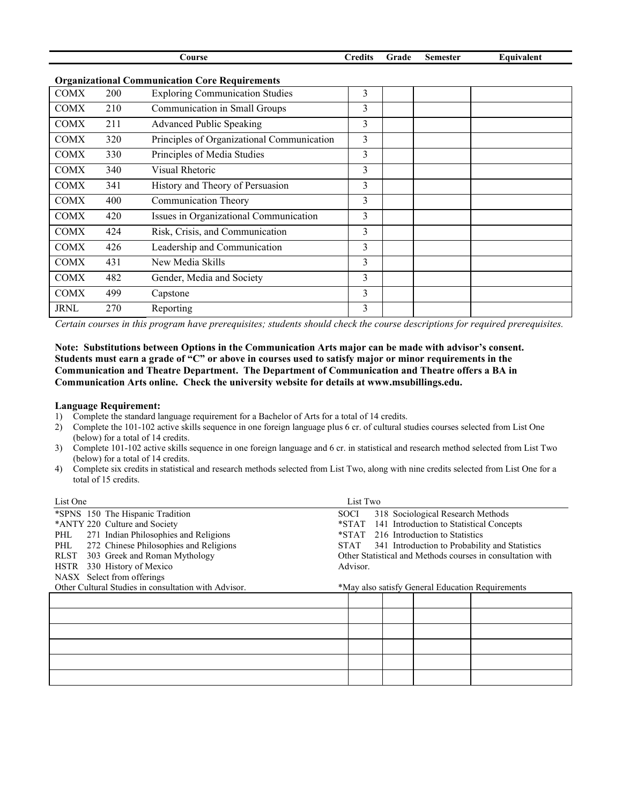| Course                                                |     |                                            | <b>Credits</b> | Grade | <b>Semester</b> | Equivalent |
|-------------------------------------------------------|-----|--------------------------------------------|----------------|-------|-----------------|------------|
| <b>Organizational Communication Core Requirements</b> |     |                                            |                |       |                 |            |
| <b>COMX</b>                                           | 200 | <b>Exploring Communication Studies</b>     | 3              |       |                 |            |
| <b>COMX</b>                                           | 210 | Communication in Small Groups              | 3              |       |                 |            |
| <b>COMX</b>                                           | 211 | <b>Advanced Public Speaking</b>            | 3              |       |                 |            |
| <b>COMX</b>                                           | 320 | Principles of Organizational Communication | 3              |       |                 |            |
| <b>COMX</b>                                           | 330 | Principles of Media Studies                | 3              |       |                 |            |
| <b>COMX</b>                                           | 340 | Visual Rhetoric                            | 3              |       |                 |            |
| <b>COMX</b>                                           | 341 | History and Theory of Persuasion           | 3              |       |                 |            |
| <b>COMX</b>                                           | 400 | Communication Theory                       | 3              |       |                 |            |
| <b>COMX</b>                                           | 420 | Issues in Organizational Communication     | 3              |       |                 |            |
| <b>COMX</b>                                           | 424 | Risk, Crisis, and Communication            | 3              |       |                 |            |
| <b>COMX</b>                                           | 426 | Leadership and Communication               | 3              |       |                 |            |
| <b>COMX</b>                                           | 431 | New Media Skills                           | 3              |       |                 |            |
| <b>COMX</b>                                           | 482 | Gender, Media and Society                  | 3              |       |                 |            |
| <b>COMX</b>                                           | 499 | Capstone                                   | 3              |       |                 |            |
| <b>JRNL</b>                                           | 270 | Reporting                                  | 3              |       |                 |            |

*Certain courses in this program have prerequisites; students should check the course descriptions for required prerequisites.*

### **Note: Substitutions between Options in the Communication Arts major can be made with advisor's consent. Students must earn a grade of "C" or above in courses used to satisfy major or minor requirements in the Communication and Theatre Department. The Department of Communication and Theatre offers a BA in Communication Arts online. Check the university website for details at www.msubillings.edu.**

#### **Language Requirement:**

- 1) Complete the standard language requirement for a Bachelor of Arts for a total of 14 credits.
- 2) Complete the 101-102 active skills sequence in one foreign language plus 6 cr. of cultural studies courses selected from List One (below) for a total of 14 credits.
- 3) Complete 101-102 active skills sequence in one foreign language and 6 cr. in statistical and research method selected from List Two (below) for a total of 14 credits.
- 4) Complete six credits in statistical and research methods selected from List Two, along with nine credits selected from List One for a total of 15 credits.

| List One                                                                        | List Two                                                   |  |  |  |
|---------------------------------------------------------------------------------|------------------------------------------------------------|--|--|--|
| *SPNS 150 The Hispanic Tradition                                                | 318 Sociological Research Methods<br><b>SOCI</b>           |  |  |  |
| *ANTY 220 Culture and Society<br>*STAT 141 Introduction to Statistical Concepts |                                                            |  |  |  |
| 271 Indian Philosophies and Religions<br>PHL                                    | *STAT 216 Introduction to Statistics                       |  |  |  |
| 272 Chinese Philosophies and Religions<br>PHL                                   | 341 Introduction to Probability and Statistics<br>STAT     |  |  |  |
| 303 Greek and Roman Mythology<br>RLST                                           | Other Statistical and Methods courses in consultation with |  |  |  |
| 330 History of Mexico<br>HSTR                                                   | Advisor.                                                   |  |  |  |
| NASX Select from offerings                                                      |                                                            |  |  |  |
| Other Cultural Studies in consultation with Advisor.                            | *May also satisfy General Education Requirements           |  |  |  |
|                                                                                 |                                                            |  |  |  |
|                                                                                 |                                                            |  |  |  |
|                                                                                 |                                                            |  |  |  |
|                                                                                 |                                                            |  |  |  |
|                                                                                 |                                                            |  |  |  |
|                                                                                 |                                                            |  |  |  |